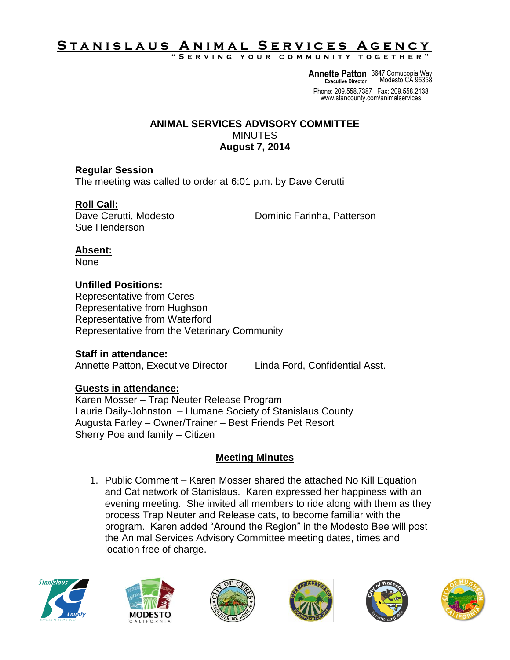# S T A N <u>I S L A U S A N I M A L SERVICES A GENCY</u>

**" S e r v i n g y o u r c o m m u n i t y t o g e t h e r "**

**Annette Patton** 3647 Cornucopia Way **Executive Director** Modesto CA 95358

Phone: 209.558.7387 Fax: 209.558.2138 www.stancounty.com/animalservices

#### **ANIMAL SERVICES ADVISORY COMMITTEE MINUTES August 7, 2014**

### **Regular Session**

The meeting was called to order at 6:01 p.m. by Dave Cerutti

### **Roll Call:**

Sue Henderson

Dave Cerutti, Modesto **Dominic Farinha, Patterson** 

### **Absent:**

None

## **Unfilled Positions:**

Representative from Ceres Representative from Hughson Representative from Waterford Representative from the Veterinary Community

### **Staff in attendance:**

Annette Patton, Executive Director Linda Ford, Confidential Asst.

### **Guests in attendance:**

Karen Mosser – Trap Neuter Release Program Laurie Daily-Johnston – Humane Society of Stanislaus County Augusta Farley – Owner/Trainer – Best Friends Pet Resort Sherry Poe and family – Citizen

### **Meeting Minutes**

1. Public Comment – Karen Mosser shared the attached No Kill Equation and Cat network of Stanislaus. Karen expressed her happiness with an evening meeting. She invited all members to ride along with them as they process Trap Neuter and Release cats, to become familiar with the program. Karen added "Around the Region" in the Modesto Bee will post the Animal Services Advisory Committee meeting dates, times and location free of charge.